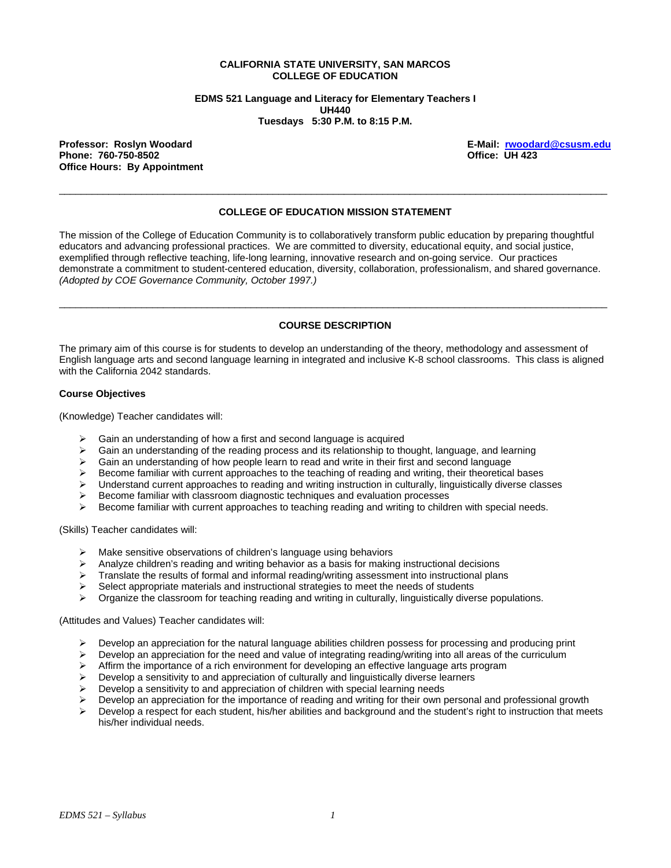#### **CALIFORNIA STATE UNIVERSITY, SAN MARCOS COLLEGE OF EDUCATION**

**EDMS 521 Language and Literacy for Elementary Teachers I UH440 Tuesdays 5:30 P.M. to 8:15 P.M.** 

**Professor: Roslyn Woodard E-Mail: rwoodard@csusm.edu** Phone: 760-750-8502 **Office Hours: By Appointment** 

### **COLLEGE OF EDUCATION MISSION STATEMENT**

 $\overline{a}$  , and the state of the state of the state of the state of the state of the state of the state of the state of the state of the state of the state of the state of the state of the state of the state of the state o

The mission of the College of Education Community is to collaboratively transform public education by preparing thoughtful educators and advancing professional practices. We are committed to diversity, educational equity, and social justice, exemplified through reflective teaching, life-long learning, innovative research and on-going service. Our practices demonstrate a commitment to student-centered education, diversity, collaboration, professionalism, and shared governance. *(Adopted by COE Governance Community, October 1997.)* 

# $\overline{a}$  , and the state of the state of the state of the state of the state of the state of the state of the state of the state of the state of the state of the state of the state of the state of the state of the state o **COURSE DESCRIPTION**

The primary aim of this course is for students to develop an understanding of the theory, methodology and assessment of English language arts and second language learning in integrated and inclusive K-8 school classrooms. This class is aligned with the California 2042 standards.

#### **Course Objectives**

(Knowledge) Teacher candidates will:

- Gain an understanding of how a first and second language is acquired
- $\triangleright$  Gain an understanding of the reading process and its relationship to thought, language, and learning
- $\triangleright$  Gain an understanding of how people learn to read and write in their first and second language
- $\triangleright$  Become familiar with current approaches to the teaching of reading and writing, their theoretical bases
- $\triangleright$  Understand current approaches to reading and writing instruction in culturally, linguistically diverse classes
- ¾ Become familiar with classroom diagnostic techniques and evaluation processes
- Become familiar with current approaches to teaching reading and writing to children with special needs.

(Skills) Teacher candidates will:

- Make sensitive observations of children's language using behaviors
- $\triangleright$  Analyze children's reading and writing behavior as a basis for making instructional decisions
- $\triangleright$  Translate the results of formal and informal reading/writing assessment into instructional plans
- $\triangleright$  Select appropriate materials and instructional strategies to meet the needs of students
- ¾ Organize the classroom for teaching reading and writing in culturally, linguistically diverse populations.

(Attitudes and Values) Teacher candidates will:

- Develop an appreciation for the natural language abilities children possess for processing and producing print
- Develop an appreciation for the need and value of integrating reading/writing into all areas of the curriculum
- $\triangleright$  Affirm the importance of a rich environment for developing an effective language arts program
- $\triangleright$  Develop a sensitivity to and appreciation of culturally and linguistically diverse learners
- $\triangleright$  Develop a sensitivity to and appreciation of children with special learning needs
- Develop an appreciation for the importance of reading and writing for their own personal and professional growth
- $\triangleright$  Develop a respect for each student, his/her abilities and background and the student's right to instruction that meets his/her individual needs.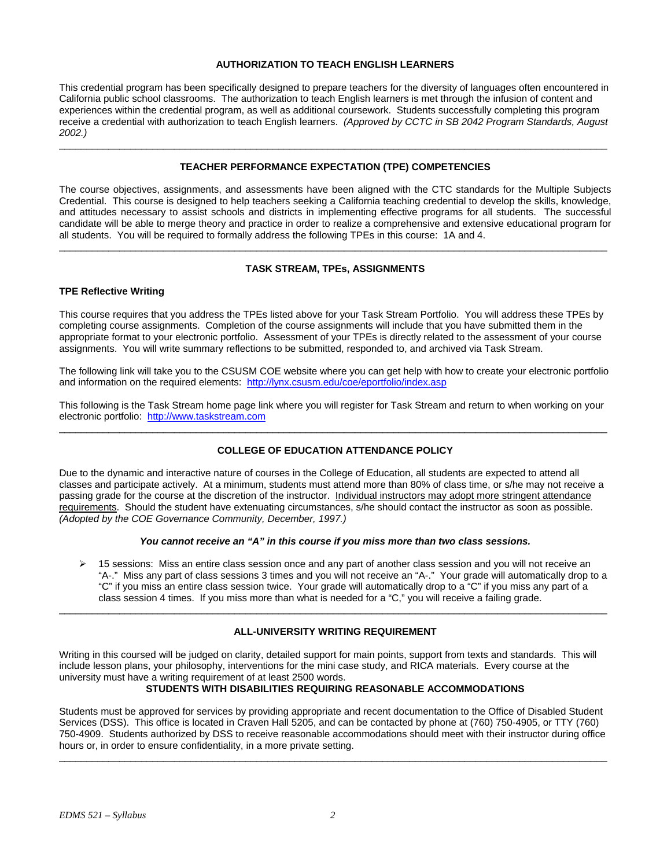#### **AUTHORIZATION TO TEACH ENGLISH LEARNERS**

This credential program has been specifically designed to prepare teachers for the diversity of languages often encountered in California public school classrooms. The authorization to teach English learners is met through the infusion of content and experiences within the credential program, as well as additional coursework. Students successfully completing this program receive a credential with authorization to teach English learners. *(Approved by CCTC in SB 2042 Program Standards, August 2002.)*

#### **TEACHER PERFORMANCE EXPECTATION (TPE) COMPETENCIES**

\_\_\_\_\_\_\_\_\_\_\_\_\_\_\_\_\_\_\_\_\_\_\_\_\_\_\_\_\_\_\_\_\_\_\_\_\_\_\_\_\_\_\_\_\_\_\_\_\_\_\_\_\_\_\_\_\_\_\_\_\_\_\_\_\_\_\_\_\_\_\_\_\_\_\_\_\_\_\_\_\_\_\_\_\_\_\_\_\_\_\_\_\_\_\_\_\_\_\_\_

The course objectives, assignments, and assessments have been aligned with the CTC standards for the Multiple Subjects Credential. This course is designed to help teachers seeking a California teaching credential to develop the skills, knowledge, and attitudes necessary to assist schools and districts in implementing effective programs for all students. The successful candidate will be able to merge theory and practice in order to realize a comprehensive and extensive educational program for all students. You will be required to formally address the following TPEs in this course: 1A and 4.

# $\overline{a}$  , and the state of the state of the state of the state of the state of the state of the state of the state of the state of the state of the state of the state of the state of the state of the state of the state o **TASK STREAM, TPEs, ASSIGNMENTS**

#### **TPE Reflective Writing**

This course requires that you address the TPEs listed above for your Task Stream Portfolio. You will address these TPEs by completing course assignments. Completion of the course assignments will include that you have submitted them in the appropriate format to your electronic portfolio. Assessment of your TPEs is directly related to the assessment of your course assignments. You will write summary reflections to be submitted, responded to, and archived via Task Stream.

The following link will take you to the CSUSM COE website where you can get help with how to create your electronic portfolio and information on the required elements: http://lynx.csusm.edu/coe/eportfolio/index.asp

This following is the Task Stream home page link where you will register for Task Stream and return to when working on your electronic portfolio: http://www.taskstream.com \_\_\_\_\_\_\_\_\_\_\_\_\_\_\_\_\_\_\_\_\_\_\_\_\_\_\_\_\_\_\_\_\_\_\_\_\_\_\_\_\_\_\_\_\_\_\_\_\_\_\_\_\_\_\_\_\_\_\_\_\_\_\_\_\_\_\_\_\_\_\_\_\_\_\_\_\_\_\_\_\_\_\_\_\_\_\_\_\_\_\_\_\_\_\_\_\_\_\_\_

### **COLLEGE OF EDUCATION ATTENDANCE POLICY**

Due to the dynamic and interactive nature of courses in the College of Education, all students are expected to attend all classes and participate actively. At a minimum, students must attend more than 80% of class time, or s/he may not receive a passing grade for the course at the discretion of the instructor. Individual instructors may adopt more stringent attendance requirements. Should the student have extenuating circumstances, s/he should contact the instructor as soon as possible. *(Adopted by the COE Governance Community, December, 1997.)*

#### *You cannot receive an "A" in this course if you miss more than two class sessions.*

¾ 15 sessions: Miss an entire class session once and any part of another class session and you will not receive an "A-." Miss any part of class sessions 3 times and you will not receive an "A-." Your grade will automatically drop to a "C" if you miss an entire class session twice. Your grade will automatically drop to a "C" if you miss any part of a class session 4 times. If you miss more than what is needed for a "C," you will receive a failing grade.

#### **ALL-UNIVERSITY WRITING REQUIREMENT**

 $\overline{a}$  , and the state of the state of the state of the state of the state of the state of the state of the state of the state of the state of the state of the state of the state of the state of the state of the state o

Writing in this coursed will be judged on clarity, detailed support for main points, support from texts and standards. This will include lesson plans, your philosophy, interventions for the mini case study, and RICA materials. Every course at the university must have a writing requirement of at least 2500 words.

#### **STUDENTS WITH DISABILITIES REQUIRING REASONABLE ACCOMMODATIONS**

Students must be approved for services by providing appropriate and recent documentation to the Office of Disabled Student Services (DSS). This office is located in Craven Hall 5205, and can be contacted by phone at (760) 750-4905, or TTY (760) 750-4909. Students authorized by DSS to receive reasonable accommodations should meet with their instructor during office hours or, in order to ensure confidentiality, in a more private setting.

 $\overline{a}$  , and the state of the state of the state of the state of the state of the state of the state of the state of the state of the state of the state of the state of the state of the state of the state of the state o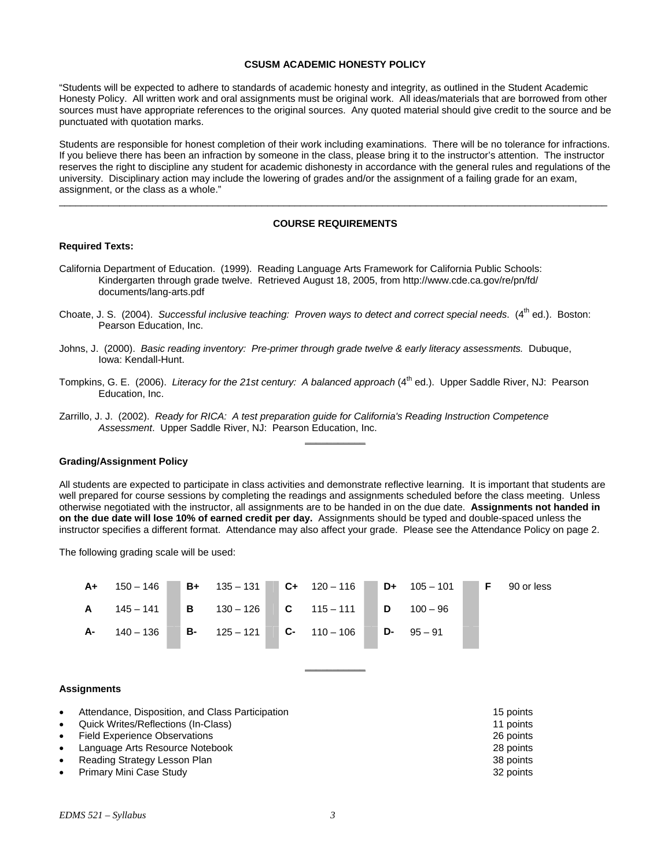#### **CSUSM ACADEMIC HONESTY POLICY**

"Students will be expected to adhere to standards of academic honesty and integrity, as outlined in the Student Academic Honesty Policy. All written work and oral assignments must be original work. All ideas/materials that are borrowed from other sources must have appropriate references to the original sources. Any quoted material should give credit to the source and be punctuated with quotation marks.

Students are responsible for honest completion of their work including examinations. There will be no tolerance for infractions. If you believe there has been an infraction by someone in the class, please bring it to the instructor's attention. The instructor reserves the right to discipline any student for academic dishonesty in accordance with the general rules and regulations of the university. Disciplinary action may include the lowering of grades and/or the assignment of a failing grade for an exam, assignment, or the class as a whole."

#### **COURSE REQUIREMENTS**

 $\overline{a}$  , and the state of the state of the state of the state of the state of the state of the state of the state of the state of the state of the state of the state of the state of the state of the state of the state o

#### **Required Texts:**

- California Department of Education. (1999). Reading Language Arts Framework for California Public Schools: Kindergarten through grade twelve. Retrieved August 18, 2005, from http://www.cde.ca.gov/re/pn/fd/ documents/lang-arts.pdf
- Choate, J. S. (2004). *Successful inclusive teaching: Proven ways to detect and correct special needs.* (4<sup>th</sup> ed.). Boston: Pearson Education, Inc.
- Johns, J. (2000). *Basic reading inventory: Pre-primer through grade twelve & early literacy assessments.* Dubuque, Iowa: Kendall-Hunt.
- Tompkins, G. E. (2006). *Literacy for the 21st century: A balanced approach* (4<sup>th</sup> ed.). Upper Saddle River, NJ: Pearson Education, Inc.
- Zarrillo, J. J. (2002). *Ready for RICA: A test preparation guide for California's Reading Instruction Competence Assessment*. Upper Saddle River, NJ: Pearson Education, Inc.

#### **Grading/Assignment Policy**

All students are expected to participate in class activities and demonstrate reflective learning. It is important that students are well prepared for course sessions by completing the readings and assignments scheduled before the class meeting. Unless otherwise negotiated with the instructor, all assignments are to be handed in on the due date. **Assignments not handed in on the due date will lose 10% of earned credit per day.** Assignments should be typed and double-spaced unless the instructor specifies a different format. Attendance may also affect your grade. Please see the Attendance Policy on page 2.

**\_\_\_\_\_\_\_\_\_\_\_**

The following grading scale will be used:



**\_\_\_\_\_\_\_\_\_\_\_**

#### **Assignments**

| $\bullet$ | Attendance, Disposition, and Class Participation | 15 points |
|-----------|--------------------------------------------------|-----------|
|           | • Quick Writes/Reflections (In-Class)            | 11 points |
|           | • Field Experience Observations                  | 26 points |
| $\bullet$ | Language Arts Resource Notebook                  | 28 points |
| $\bullet$ | Reading Strategy Lesson Plan                     | 38 points |
|           | • Primary Mini Case Study                        | 32 points |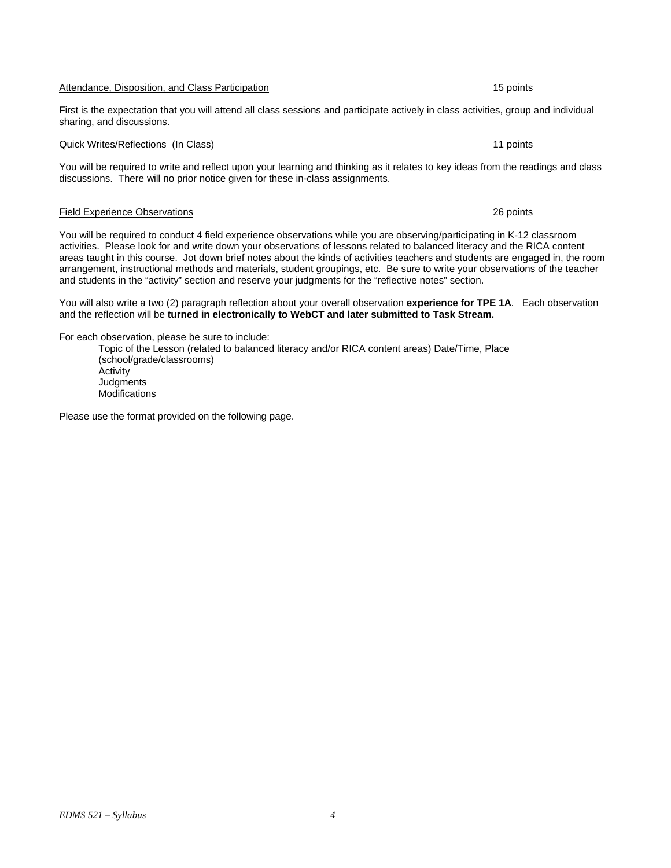#### Attendance, Disposition, and Class Participation 15 points 15 points

#### First is the expectation that you will attend all class sessions and participate actively in class activities, group and individual sharing, and discussions.

#### Quick Writes/Reflections (In Class) 11 points

You will be required to write and reflect upon your learning and thinking as it relates to key ideas from the readings and class discussions. There will no prior notice given for these in-class assignments.

#### Field Experience Observations 26 points

You will be required to conduct 4 field experience observations while you are observing/participating in K-12 classroom activities. Please look for and write down your observations of lessons related to balanced literacy and the RICA content areas taught in this course. Jot down brief notes about the kinds of activities teachers and students are engaged in, the room arrangement, instructional methods and materials, student groupings, etc. Be sure to write your observations of the teacher and students in the "activity" section and reserve your judgments for the "reflective notes" section.

You will also write a two (2) paragraph reflection about your overall observation **experience for TPE 1A**. Each observation and the reflection will be **turned in electronically to WebCT and later submitted to Task Stream.**

For each observation, please be sure to include:

Topic of the Lesson (related to balanced literacy and/or RICA content areas) Date/Time, Place (school/grade/classrooms) Activity **Judgments** Modifications

Please use the format provided on the following page.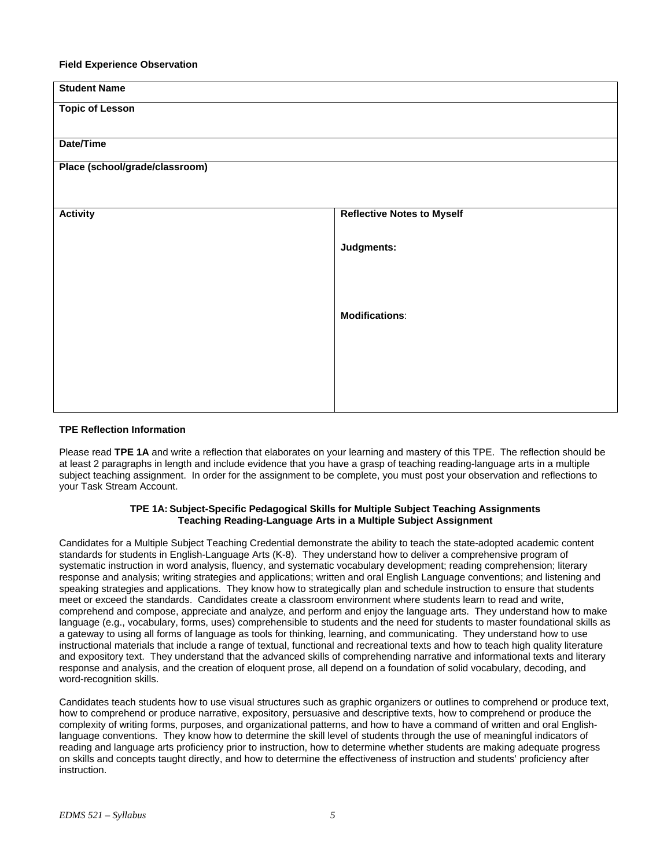#### **Field Experience Observation**

| <b>Student Name</b>            |                                   |  |  |  |  |
|--------------------------------|-----------------------------------|--|--|--|--|
| <b>Topic of Lesson</b>         |                                   |  |  |  |  |
|                                |                                   |  |  |  |  |
| Date/Time                      |                                   |  |  |  |  |
| Place (school/grade/classroom) |                                   |  |  |  |  |
|                                |                                   |  |  |  |  |
| <b>Activity</b>                | <b>Reflective Notes to Myself</b> |  |  |  |  |
|                                |                                   |  |  |  |  |
|                                | Judgments:                        |  |  |  |  |
|                                |                                   |  |  |  |  |
|                                |                                   |  |  |  |  |
|                                | <b>Modifications:</b>             |  |  |  |  |
|                                |                                   |  |  |  |  |
|                                |                                   |  |  |  |  |
|                                |                                   |  |  |  |  |
|                                |                                   |  |  |  |  |
|                                |                                   |  |  |  |  |

#### **TPE Reflection Information**

Please read **TPE 1A** and write a reflection that elaborates on your learning and mastery of this TPE. The reflection should be at least 2 paragraphs in length and include evidence that you have a grasp of teaching reading-language arts in a multiple subject teaching assignment. In order for the assignment to be complete, you must post your observation and reflections to your Task Stream Account.

#### **TPE 1A: Subject-Specific Pedagogical Skills for Multiple Subject Teaching Assignments Teaching Reading-Language Arts in a Multiple Subject Assignment**

Candidates for a Multiple Subject Teaching Credential demonstrate the ability to teach the state-adopted academic content standards for students in English-Language Arts (K-8). They understand how to deliver a comprehensive program of systematic instruction in word analysis, fluency, and systematic vocabulary development; reading comprehension; literary response and analysis; writing strategies and applications; written and oral English Language conventions; and listening and speaking strategies and applications. They know how to strategically plan and schedule instruction to ensure that students meet or exceed the standards. Candidates create a classroom environment where students learn to read and write, comprehend and compose, appreciate and analyze, and perform and enjoy the language arts. They understand how to make language (e.g., vocabulary, forms, uses) comprehensible to students and the need for students to master foundational skills as a gateway to using all forms of language as tools for thinking, learning, and communicating. They understand how to use instructional materials that include a range of textual, functional and recreational texts and how to teach high quality literature and expository text. They understand that the advanced skills of comprehending narrative and informational texts and literary response and analysis, and the creation of eloquent prose, all depend on a foundation of solid vocabulary, decoding, and word-recognition skills.

Candidates teach students how to use visual structures such as graphic organizers or outlines to comprehend or produce text, how to comprehend or produce narrative, expository, persuasive and descriptive texts, how to comprehend or produce the complexity of writing forms, purposes, and organizational patterns, and how to have a command of written and oral Englishlanguage conventions. They know how to determine the skill level of students through the use of meaningful indicators of reading and language arts proficiency prior to instruction, how to determine whether students are making adequate progress on skills and concepts taught directly, and how to determine the effectiveness of instruction and students' proficiency after instruction.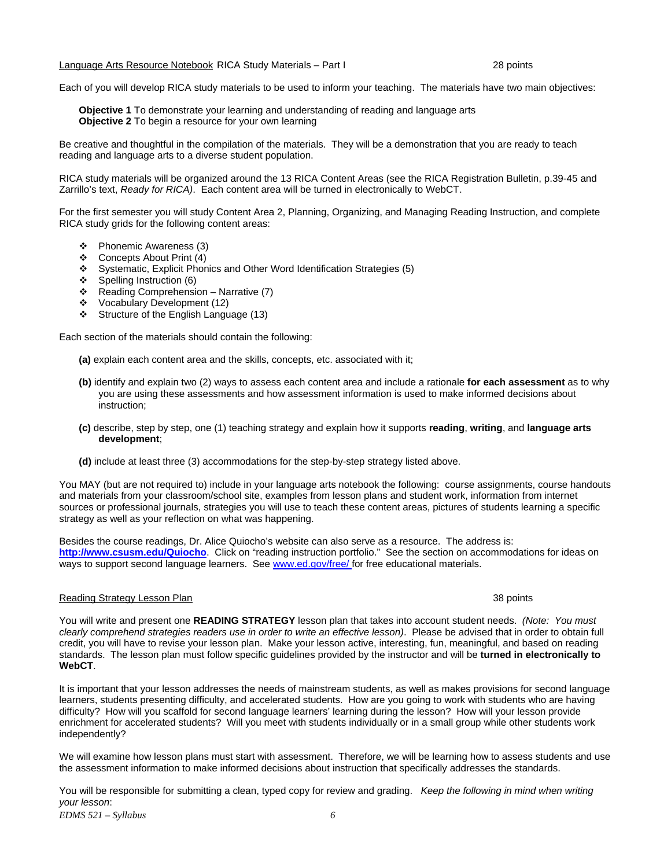*EDMS 521 – Syllabus 6* 

Each of you will develop RICA study materials to be used to inform your teaching. The materials have two main objectives:

**Objective 1** To demonstrate your learning and understanding of reading and language arts **Objective 2** To begin a resource for your own learning

Be creative and thoughtful in the compilation of the materials. They will be a demonstration that you are ready to teach reading and language arts to a diverse student population.

RICA study materials will be organized around the 13 RICA Content Areas (see the RICA Registration Bulletin, p.39-45 and Zarrillo's text, *Ready for RICA)*. Each content area will be turned in electronically to WebCT.

For the first semester you will study Content Area 2, Planning, Organizing, and Managing Reading Instruction, and complete RICA study grids for the following content areas:

- Phonemic Awareness (3)
- Concepts About Print (4)
- Systematic, Explicit Phonics and Other Word Identification Strategies (5)
- $\div$  Spelling Instruction (6)
- $\div$  Reading Comprehension Narrative (7)
- Vocabulary Development (12)
- Structure of the English Language (13)

Each section of the materials should contain the following:

**(a)** explain each content area and the skills, concepts, etc. associated with it;

- **(b)** identify and explain two (2) ways to assess each content area and include a rationale **for each assessment** as to why you are using these assessments and how assessment information is used to make informed decisions about instruction;
- **(c)** describe, step by step, one (1) teaching strategy and explain how it supports **reading**, **writing**, and **language arts development**;
- **(d)** include at least three (3) accommodations for the step-by-step strategy listed above.

You MAY (but are not required to) include in your language arts notebook the following: course assignments, course handouts and materials from your classroom/school site, examples from lesson plans and student work, information from internet sources or professional journals, strategies you will use to teach these content areas, pictures of students learning a specific strategy as well as your reflection on what was happening.

Besides the course readings, Dr. Alice Quiocho's website can also serve as a resource. The address is: **http://www.csusm.edu/Quiocho**. Click on "reading instruction portfolio." See the section on accommodations for ideas on ways to support second language learners. See www.ed.gov/free/ for free educational materials.

#### Reading Strategy Lesson Plan 38 points and 38 points of the strategy Lesson Plan 38 points and 38 points and 38 points of the strategy Lesson Plan 38 points and 38 points and 38 points of the strategy Lesson Plan 38 points

You will write and present one **READING STRATEGY** lesson plan that takes into account student needs. *(Note: You must clearly comprehend strategies readers use in order to write an effective lesson)*. Please be advised that in order to obtain full credit, you will have to revise your lesson plan. Make your lesson active, interesting, fun, meaningful, and based on reading standards. The lesson plan must follow specific guidelines provided by the instructor and will be **turned in electronically to WebCT**.

It is important that your lesson addresses the needs of mainstream students, as well as makes provisions for second language learners, students presenting difficulty, and accelerated students. How are you going to work with students who are having difficulty? How will you scaffold for second language learners' learning during the lesson? How will your lesson provide enrichment for accelerated students? Will you meet with students individually or in a small group while other students work independently?

We will examine how lesson plans must start with assessment. Therefore, we will be learning how to assess students and use the assessment information to make informed decisions about instruction that specifically addresses the standards.

You will be responsible for submitting a clean, typed copy for review and grading. *Keep the following in mind when writing your lesson*: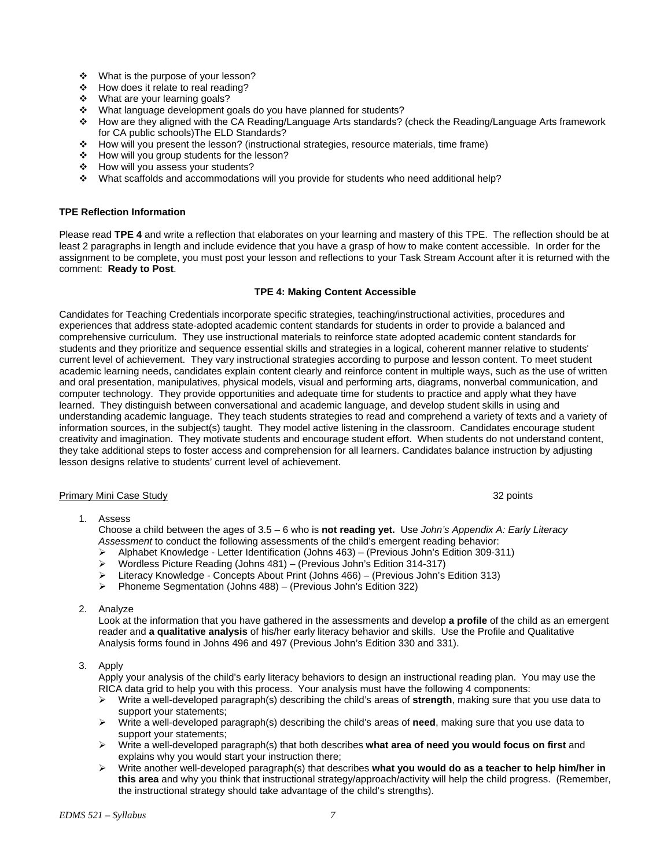- ❖ What is the purpose of your lesson?
- $\div$  How does it relate to real reading?
- What are your learning goals?
- \* What language development goals do you have planned for students?
- How are they aligned with the CA Reading/Language Arts standards? (check the Reading/Language Arts framework for CA public schools)The ELD Standards?
- How will you present the lesson? (instructional strategies, resource materials, time frame)
- \* How will you group students for the lesson?
- How will you assess your students?
- What scaffolds and accommodations will you provide for students who need additional help?

#### **TPE Reflection Information**

Please read **TPE 4** and write a reflection that elaborates on your learning and mastery of this TPE. The reflection should be at least 2 paragraphs in length and include evidence that you have a grasp of how to make content accessible. In order for the assignment to be complete, you must post your lesson and reflections to your Task Stream Account after it is returned with the comment: **Ready to Post**.

#### **TPE 4: Making Content Accessible**

Candidates for Teaching Credentials incorporate specific strategies, teaching/instructional activities, procedures and experiences that address state-adopted academic content standards for students in order to provide a balanced and comprehensive curriculum. They use instructional materials to reinforce state adopted academic content standards for students and they prioritize and sequence essential skills and strategies in a logical, coherent manner relative to students' current level of achievement. They vary instructional strategies according to purpose and lesson content. To meet student academic learning needs, candidates explain content clearly and reinforce content in multiple ways, such as the use of written and oral presentation, manipulatives, physical models, visual and performing arts, diagrams, nonverbal communication, and computer technology. They provide opportunities and adequate time for students to practice and apply what they have learned. They distinguish between conversational and academic language, and develop student skills in using and understanding academic language. They teach students strategies to read and comprehend a variety of texts and a variety of information sources, in the subject(s) taught. They model active listening in the classroom. Candidates encourage student creativity and imagination. They motivate students and encourage student effort. When students do not understand content, they take additional steps to foster access and comprehension for all learners. Candidates balance instruction by adjusting lesson designs relative to students' current level of achievement.

#### Primary Mini Case Study 32 points

1. Assess

Choose a child between the ages of 3.5 – 6 who is **not reading yet.** Use *John's Appendix A: Early Literacy Assessment* to conduct the following assessments of the child's emergent reading behavior:

- ¾ Alphabet Knowledge Letter Identification (Johns 463) (Previous John's Edition 309-311)
- ¾ Wordless Picture Reading (Johns 481) (Previous John's Edition 314-317)
- ¾ Literacy Knowledge Concepts About Print (Johns 466) (Previous John's Edition 313)
- ¾ Phoneme Segmentation (Johns 488) (Previous John's Edition 322)

#### 2. Analyze

Look at the information that you have gathered in the assessments and develop **a profile** of the child as an emergent reader and **a qualitative analysis** of his/her early literacy behavior and skills. Use the Profile and Qualitative Analysis forms found in Johns 496 and 497 (Previous John's Edition 330 and 331).

#### 3. Apply

Apply your analysis of the child's early literacy behaviors to design an instructional reading plan. You may use the RICA data grid to help you with this process. Your analysis must have the following 4 components:

- ¾ Write a well-developed paragraph(s) describing the child's areas of **strength**, making sure that you use data to support your statements;
- ¾ Write a well-developed paragraph(s) describing the child's areas of **need**, making sure that you use data to support your statements;
- ¾ Write a well-developed paragraph(s) that both describes **what area of need you would focus on first** and explains why you would start your instruction there;
- ¾ Write another well-developed paragraph(s) that describes **what you would do as a teacher to help him/her in this area** and why you think that instructional strategy/approach/activity will help the child progress. (Remember, the instructional strategy should take advantage of the child's strengths).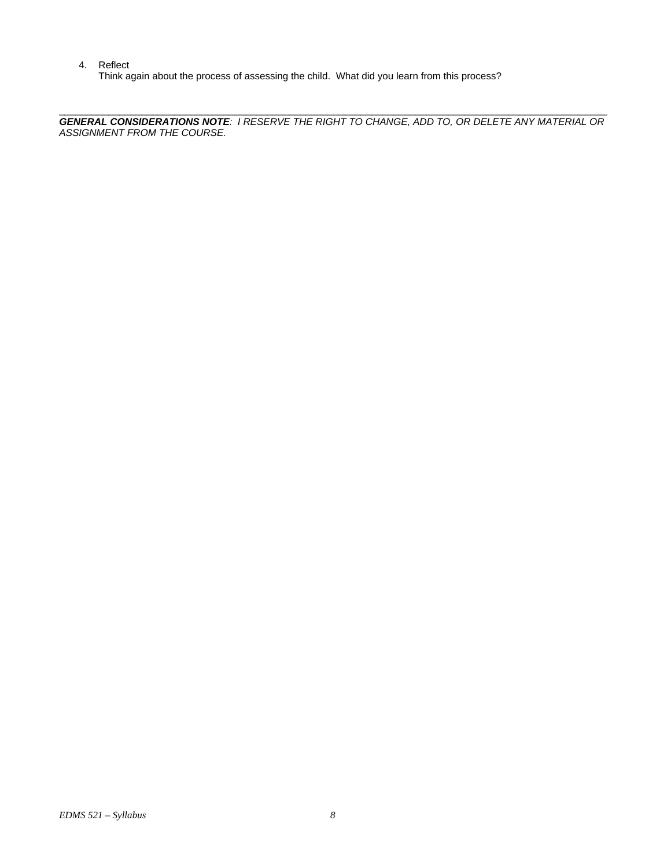4. Reflect

Think again about the process of assessing the child. What did you learn from this process?

 $\overline{a}$  , and the state of the state of the state of the state of the state of the state of the state of the state of the state of the state of the state of the state of the state of the state of the state of the state o *GENERAL CONSIDERATIONS NOTE: I RESERVE THE RIGHT TO CHANGE, ADD TO, OR DELETE ANY MATERIAL OR ASSIGNMENT FROM THE COURSE.*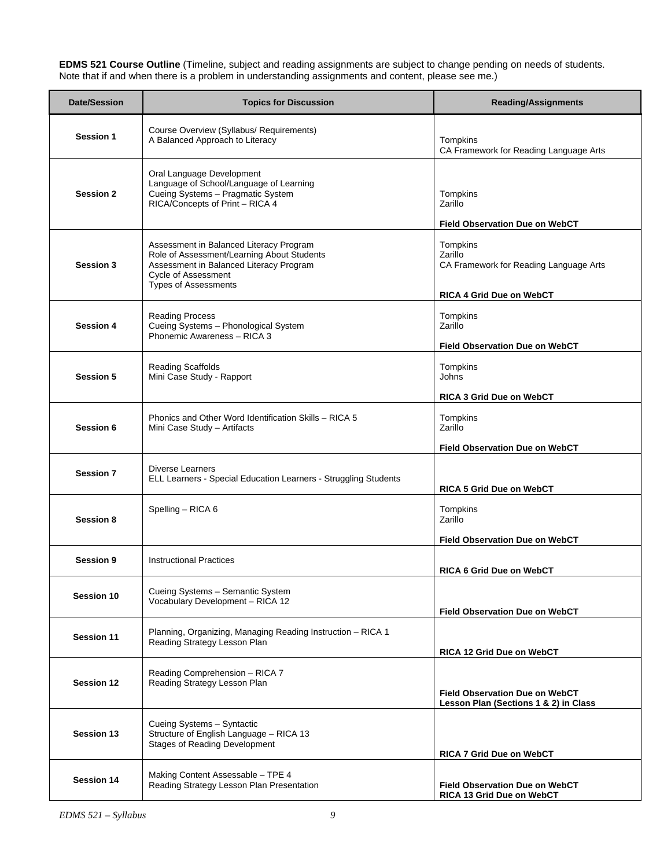**EDMS 521 Course Outline** (Timeline, subject and reading assignments are subject to change pending on needs of students. Note that if and when there is a problem in understanding assignments and content, please see me.)

| <b>Date/Session</b> | <b>Topics for Discussion</b>                                                                                                                                                                  | <b>Reading/Assignments</b>                                                                                                                |
|---------------------|-----------------------------------------------------------------------------------------------------------------------------------------------------------------------------------------------|-------------------------------------------------------------------------------------------------------------------------------------------|
| <b>Session 1</b>    | Course Overview (Syllabus/ Requirements)<br>A Balanced Approach to Literacy                                                                                                                   | Tompkins<br>CA Framework for Reading Language Arts                                                                                        |
| <b>Session 2</b>    | Oral Language Development<br>Language of School/Language of Learning<br>Cueing Systems - Pragmatic System<br>RICA/Concepts of Print - RICA 4                                                  | Tompkins<br>Zarillo                                                                                                                       |
| <b>Session 3</b>    | Assessment in Balanced Literacy Program<br>Role of Assessment/Learning About Students<br>Assessment in Balanced Literacy Program<br><b>Cycle of Assessment</b><br><b>Types of Assessments</b> | <b>Field Observation Due on WebCT</b><br>Tompkins<br>Zarillo<br>CA Framework for Reading Language Arts<br><b>RICA 4 Grid Due on WebCT</b> |
| <b>Session 4</b>    | <b>Reading Process</b><br>Cueing Systems - Phonological System<br>Phonemic Awareness - RICA 3                                                                                                 | Tompkins<br>Zarillo<br><b>Field Observation Due on WebCT</b>                                                                              |
| <b>Session 5</b>    | <b>Reading Scaffolds</b><br>Mini Case Study - Rapport                                                                                                                                         | Tompkins<br>Johns<br>RICA 3 Grid Due on WebCT                                                                                             |
| Session 6           | Phonics and Other Word Identification Skills - RICA 5<br>Mini Case Study - Artifacts                                                                                                          | Tompkins<br>Zarillo<br><b>Field Observation Due on WebCT</b>                                                                              |
| <b>Session 7</b>    | Diverse Learners<br>ELL Learners - Special Education Learners - Struggling Students                                                                                                           | <b>RICA 5 Grid Due on WebCT</b>                                                                                                           |
| Session 8           | Spelling - RICA 6                                                                                                                                                                             | Tompkins<br>Zarillo<br><b>Field Observation Due on WebCT</b>                                                                              |
| <b>Session 9</b>    | <b>Instructional Practices</b>                                                                                                                                                                | <b>RICA 6 Grid Due on WebCT</b>                                                                                                           |
| <b>Session 10</b>   | Cueing Systems - Semantic System<br>Vocabulary Development - RICA 12                                                                                                                          | <b>Field Observation Due on WebCT</b>                                                                                                     |
| <b>Session 11</b>   | Planning, Organizing, Managing Reading Instruction - RICA 1<br>Reading Strategy Lesson Plan                                                                                                   | RICA 12 Grid Due on WebCT                                                                                                                 |
| <b>Session 12</b>   | Reading Comprehension - RICA 7<br>Reading Strategy Lesson Plan                                                                                                                                | <b>Field Observation Due on WebCT</b><br>Lesson Plan (Sections 1 & 2) in Class                                                            |
| <b>Session 13</b>   | Cueing Systems - Syntactic<br>Structure of English Language - RICA 13<br><b>Stages of Reading Development</b>                                                                                 | RICA 7 Grid Due on WebCT                                                                                                                  |
| <b>Session 14</b>   | Making Content Assessable - TPE 4<br>Reading Strategy Lesson Plan Presentation                                                                                                                | <b>Field Observation Due on WebCT</b><br>RICA 13 Grid Due on WebCT                                                                        |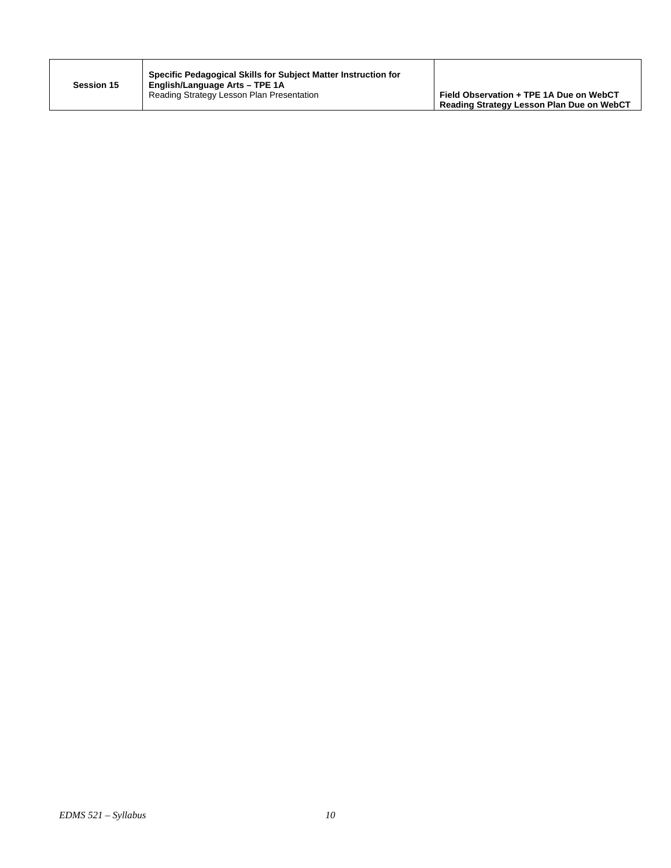| <b>Session 15</b> | Specific Pedagogical Skills for Subject Matter Instruction for<br>English/Language Arts - TPE 1A<br>Reading Strategy Lesson Plan Presentation | Field Observation + TPE 1A Due on WebCT<br>Reading Strategy Lesson Plan Due on WebCT |
|-------------------|-----------------------------------------------------------------------------------------------------------------------------------------------|--------------------------------------------------------------------------------------|
|-------------------|-----------------------------------------------------------------------------------------------------------------------------------------------|--------------------------------------------------------------------------------------|